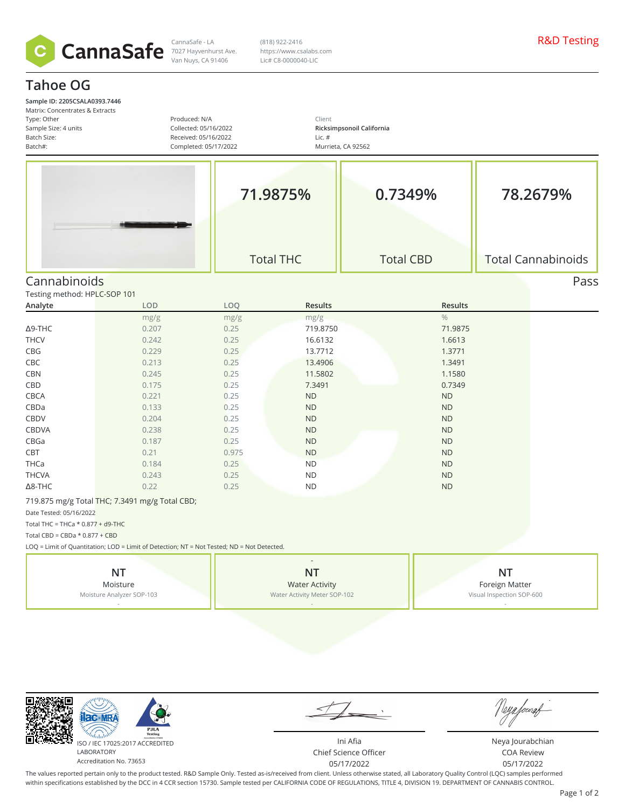

Van Nuys, CA 91406

CannaSafe - LA R&D Testing 7027 Hayvenhurst Ave. (818) 922-2416 https://www.csalabs.com Lic# C8-0000040-LIC

## **Tahoe OG**

| Type: Other<br>Sample Size: 4 units<br>Batch Size:<br>Batch#: | Matrix: Concentrates & Extracts                | Produced: N/A<br>Collected: 05/16/2022<br>Received: 05/16/2022<br>Completed: 05/17/2022    | Client<br>Ricksimpsonoil California<br>Lic. $#$<br>Murrieta, CA 92562 |                  |                                                          |                           |  |
|---------------------------------------------------------------|------------------------------------------------|--------------------------------------------------------------------------------------------|-----------------------------------------------------------------------|------------------|----------------------------------------------------------|---------------------------|--|
|                                                               |                                                |                                                                                            | 71.9875%                                                              | 0.7349%          | 78.2679%                                                 |                           |  |
|                                                               |                                                |                                                                                            | <b>Total THC</b>                                                      | <b>Total CBD</b> |                                                          | <b>Total Cannabinoids</b> |  |
| Cannabinoids                                                  |                                                |                                                                                            |                                                                       |                  |                                                          | Pass                      |  |
| Testing method: HPLC-SOP 101                                  |                                                |                                                                                            |                                                                       |                  |                                                          |                           |  |
| Analyte                                                       | LOD                                            | LOQ                                                                                        | Results                                                               | Results          |                                                          |                           |  |
|                                                               | mg/g                                           | mg/g                                                                                       | mg/g                                                                  | $\frac{0}{0}$    |                                                          |                           |  |
| $\Delta$ 9-THC                                                | 0.207                                          | 0.25                                                                                       | 719.8750                                                              | 71.9875          |                                                          |                           |  |
| <b>THCV</b>                                                   | 0.242                                          | 0.25                                                                                       | 16.6132                                                               | 1.6613           |                                                          |                           |  |
| CBG                                                           | 0.229                                          | 0.25                                                                                       | 13.7712                                                               | 1.3771           |                                                          |                           |  |
| CBC                                                           | 0.213                                          | 0.25                                                                                       | 13.4906                                                               | 1.3491           |                                                          |                           |  |
| <b>CBN</b>                                                    | 0.245                                          | 0.25                                                                                       | 11.5802                                                               | 1.1580           |                                                          |                           |  |
| CBD                                                           | 0.175                                          | 0.25                                                                                       | 7.3491                                                                | 0.7349           |                                                          |                           |  |
| CBCA                                                          | 0.221                                          | 0.25                                                                                       | ${\sf ND}$                                                            | $\sf ND$         |                                                          |                           |  |
| CBDa                                                          | 0.133                                          | 0.25                                                                                       | ND                                                                    | ND               |                                                          |                           |  |
| CBDV                                                          | 0.204                                          | 0.25                                                                                       | ND                                                                    | <b>ND</b>        |                                                          |                           |  |
| CBDVA                                                         | 0.238                                          | 0.25                                                                                       | ND                                                                    | <b>ND</b>        |                                                          |                           |  |
| CBGa                                                          | 0.187                                          | 0.25                                                                                       | ND                                                                    | ND               |                                                          |                           |  |
| CBT                                                           | 0.21                                           | 0.975                                                                                      | ND                                                                    | <b>ND</b>        |                                                          |                           |  |
| THCa                                                          | 0.184                                          | 0.25                                                                                       | <b>ND</b>                                                             | <b>ND</b>        |                                                          |                           |  |
| <b>THCVA</b>                                                  | 0.243                                          | 0.25                                                                                       | ${\sf ND}$                                                            | ND               |                                                          |                           |  |
| $\Delta$ 8-THC                                                | 0.22                                           | 0.25                                                                                       | <b>ND</b>                                                             | <b>ND</b>        |                                                          |                           |  |
|                                                               | 719.875 mg/g Total THC; 7.3491 mg/g Total CBD; |                                                                                            |                                                                       |                  |                                                          |                           |  |
| Date Tested: 05/16/2022                                       |                                                |                                                                                            |                                                                       |                  |                                                          |                           |  |
| Total THC = THCa $*$ 0.877 + d9-THC                           |                                                |                                                                                            |                                                                       |                  |                                                          |                           |  |
| Total CBD = CBDa $*$ 0.877 + CBD                              |                                                |                                                                                            |                                                                       |                  |                                                          |                           |  |
|                                                               |                                                | LOQ = Limit of Quantitation; LOD = Limit of Detection; NT = Not Tested; ND = Not Detected. |                                                                       |                  |                                                          |                           |  |
| <b>NT</b><br>Moisture<br>Moisture Analyzer SOP-103            |                                                |                                                                                            | <b>NT</b><br><b>Water Activity</b><br>Water Activity Meter SOP-102    |                  | <b>NT</b><br>Foreign Matter<br>Visual Inspection SOP-600 |                           |  |



同

Accreditation No. 73653

 $\int$ U

Ini Afia Chief Science Officer 05/17/2022

Neya Jourabchian COA Review 05/17/2022

The values reported pertain only to the product tested. R&D Sample Only. Tested as-is/received from client. Unless otherwise stated, all Laboratory Quality Control (LQC) samples performed within specifications established by the DCC in 4 CCR section 15730. Sample tested per CALIFORNIA CODE OF REGULATIONS, TITLE 4, DIVISION 19. DEPARTMENT OF CANNABIS CONTROL.